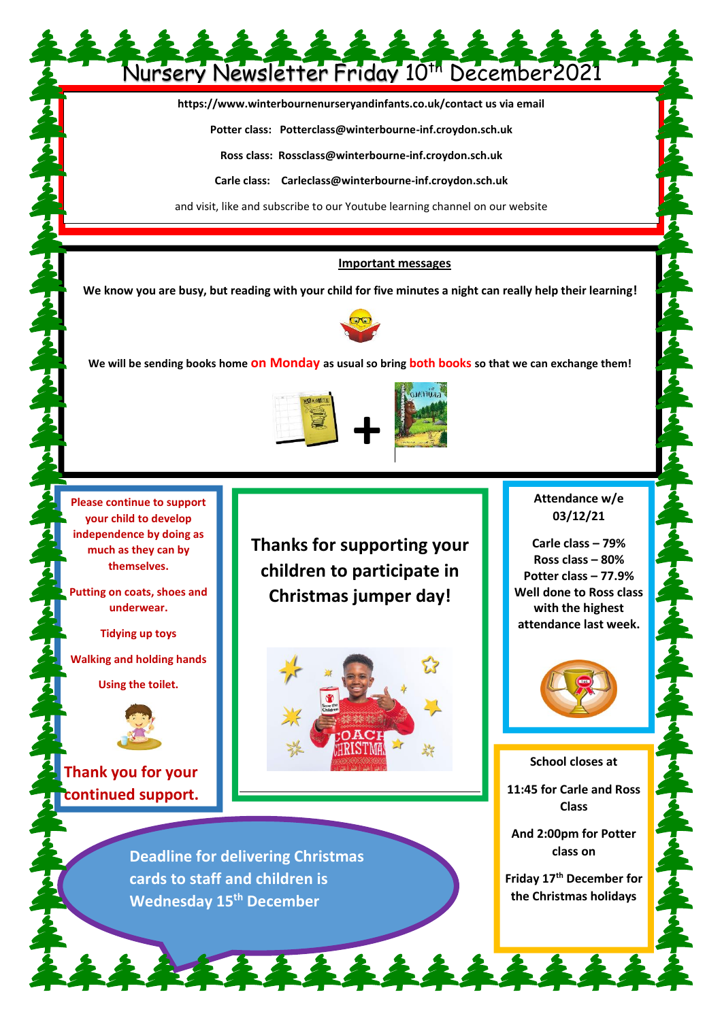## Nursery Newsletter Friday 10th December2021

**https://www.winterbournenurseryandinfants.co.uk/contact us via email**

**Potter class: Potterclass@winterbourne-inf.croydon.sch.uk**

**Ross class: Rossclass@winterbourne-inf.croydon.sch.uk**

**Carle class: Carleclass@winterbourne-inf.croydon.sch.uk**

and visit, like and subscribe to our Youtube learning channel on our website

## **Important messages**

**We know you are busy, but reading with your child for five minutes a night can really help their learning!**



**We will be sending books home on Monday as usual so bring both books so that we can exchange them!**



**Please continue to support your child to develop independence by doing as much as they can by themselves.** 

**Putting on coats, shoes and underwear.**

**Tidying up toys**

**Walking and holding hands** 

**Using the toilet.**



**Thank you for your continued support.** **Thanks for supporting your children to participate in Christmas jumper day!**



そそそそそそそそ

**Deadline for delivering Christmas cards to staff and children is Wednesday 15th December**

**Attendance w/e 03/12/21**

**Carle class – 79% Ross class – 80% Potter class – 77.9% Well done to Ross class with the highest attendance last week.**



**School closes at**

**11:45 for Carle and Ross Class**

**And 2:00pm for Potter class on**

**Friday 17th December for the Christmas holidays**